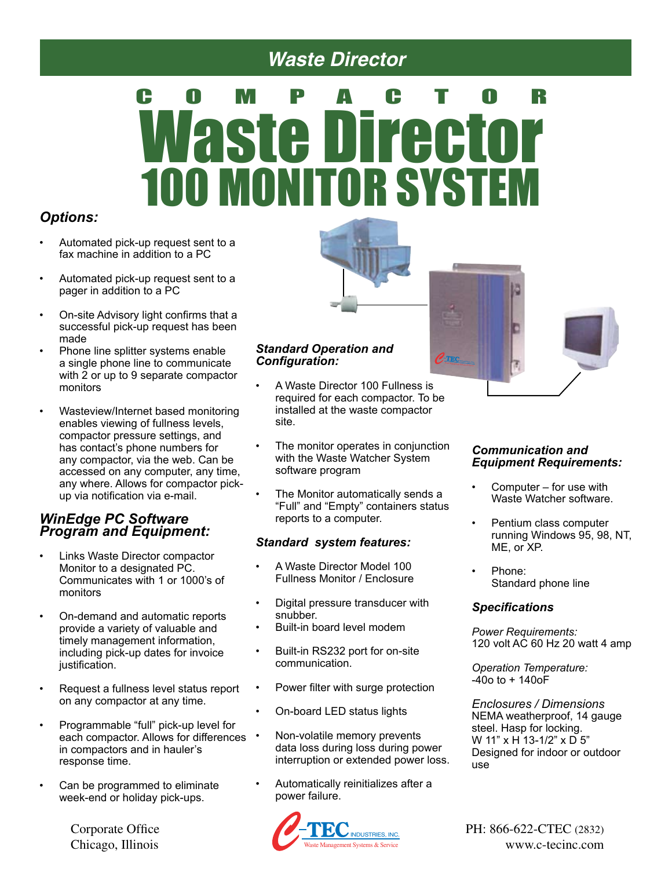## *Waste Director*

# COMPACTOR Waste Director 100 MONITOR SYSTEM

#### *Options:*

- Automated pick-up request sent to a fax machine in addition to a PC
- Automated pick-up request sent to a pager in addition to a PC
- On-site Advisory light confirms that a successful pick-up request has been made
- Phone line splitter systems enable a single phone line to communicate with 2 or up to 9 separate compactor monitors
- Wasteview/Internet based monitoring enables viewing of fullness levels, compactor pressure settings, and has contact's phone numbers for any compactor, via the web. Can be accessed on any computer, any time, any where. Allows for compactor pickup via notification via e-mail.

#### *WinEdge PC Software Program and Equipment:*

- Links Waste Director compactor Monitor to a designated PC. Communicates with 1 or 1000's of monitors
- On-demand and automatic reports provide a variety of valuable and timely management information, including pick-up dates for invoice justification.
- Request a fullness level status report on any compactor at any time.
- Programmable "full" pick-up level for each compactor. Allows for differences . in compactors and in hauler's response time.
- Can be programmed to eliminate week-end or holiday pick-ups.

Chicago, Illinois



- A Waste Director 100 Fullness is required for each compactor. To be installed at the waste compactor site.
- The monitor operates in conjunction with the Waste Watcher System software program
- The Monitor automatically sends a "Full" and "Empty" containers status reports to a computer.

#### *Standard system features:*

- A Waste Director Model 100 Fullness Monitor / Enclosure
- Digital pressure transducer with snubber.
- Built-in board level modem
- Built-in RS232 port for on-site communication.
- Power filter with surge protection
- On-board LED status lights
- Non-volatile memory prevents data loss during loss during power interruption or extended power loss.
- Automatically reinitializes after a power failure.



#### *Communication and Equipment Requirements:*

- Computer for use with Waste Watcher software.
- Pentium class computer running Windows 95, 98, NT, ME, or XP.
- Phone: Standard phone line

#### *Specifications*

*Power Requirements:* 120 volt AC 60 Hz 20 watt 4 amp

*Operation Temperature:*  $-40$ o to  $+140$ o $F$ 

*Enclosures / Dimensions* NEMA weatherproof, 14 gauge steel. Hasp for locking. W 11" x H 13-1/2" x D 5" Designed for indoor or outdoor use

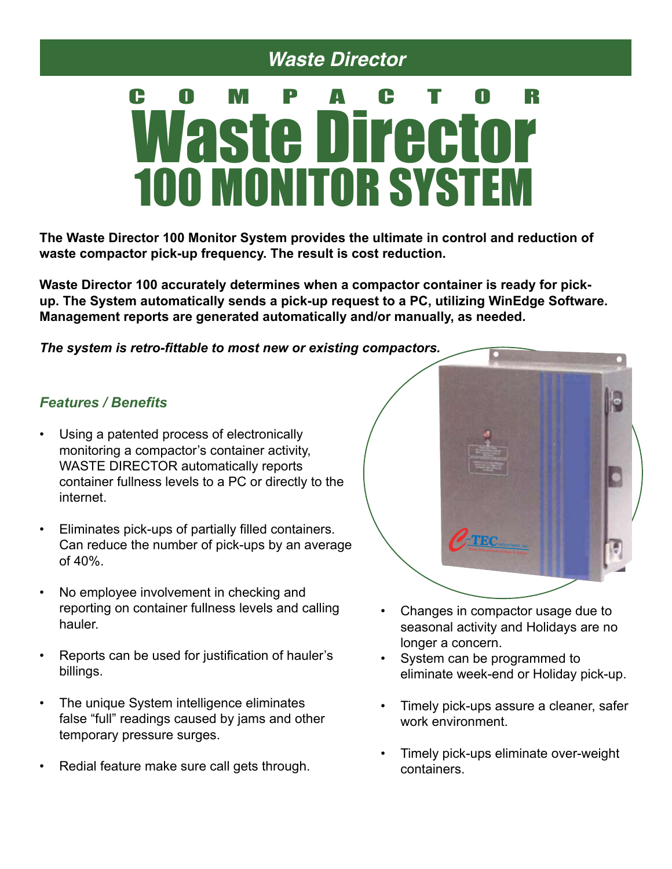## *Waste Director*

# COMPACTOR Waste Director **100 MONITOR SYSTE**

**The Waste Director 100 Monitor System provides the ultimate in control and reduction of waste compactor pick-up frequency. The result is cost reduction.**

**Waste Director 100 accurately determines when a compactor container is ready for pickup. The System automatically sends a pick-up request to a PC, utilizing WinEdge Software. Management reports are generated automatically and/or manually, as needed.** 

*The system is retro-fittable to most new or existing compactors.* 

#### *Features / Benefits*

- Using a patented process of electronically monitoring a compactor's container activity, WASTE DIRECTOR automatically reports container fullness levels to a PC or directly to the internet.
- Eliminates pick-ups of partially filled containers. Can reduce the number of pick-ups by an average of 40%.
- No employee involvement in checking and reporting on container fullness levels and calling hauler.
- Reports can be used for justification of hauler's billings.
- The unique System intelligence eliminates false "full" readings caused by jams and other temporary pressure surges.
- Redial feature make sure call gets through.



- Changes in compactor usage due to seasonal activity and Holidays are no longer a concern.
- System can be programmed to eliminate week-end or Holiday pick-up.
- Timely pick-ups assure a cleaner, safer work environment.
- Timely pick-ups eliminate over-weight containers.